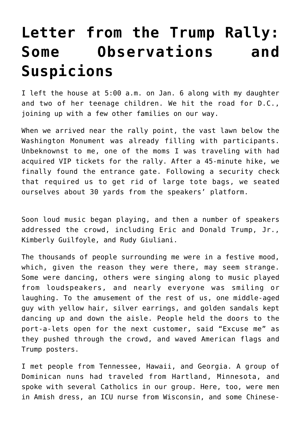## **[Letter from the Trump Rally:](https://intellectualtakeout.org/2021/01/letter-from-the-trump-rally-some-observations-and-suspicions/) [Some Observations and](https://intellectualtakeout.org/2021/01/letter-from-the-trump-rally-some-observations-and-suspicions/) [Suspicions](https://intellectualtakeout.org/2021/01/letter-from-the-trump-rally-some-observations-and-suspicions/)**

I left the house at 5:00 a.m. on Jan. 6 along with my daughter and two of her teenage children. We hit the road for D.C., joining up with a few other families on our way.

When we arrived near the rally point, the vast lawn below the Washington Monument was already filling with participants. Unbeknownst to me, one of the moms I was traveling with had acquired VIP tickets for the rally. After a 45-minute hike, we finally found the entrance gate. Following a security check that required us to get rid of large tote bags, we seated ourselves about 30 yards from the speakers' platform.

Soon loud music began playing, and then a number of speakers addressed the crowd, including Eric and Donald Trump, Jr., Kimberly Guilfoyle, and Rudy Giuliani.

The thousands of people surrounding me were in a festive mood, which, given the reason they were there, may seem strange. Some were dancing, others were singing along to music played from loudspeakers, and nearly everyone was smiling or laughing. To the amusement of the rest of us, one middle-aged guy with yellow hair, silver earrings, and golden sandals kept dancing up and down the aisle. People held the doors to the port-a-lets open for the next customer, said "Excuse me" as they pushed through the crowd, and waved American flags and Trump posters.

I met people from Tennessee, Hawaii, and Georgia. A group of Dominican nuns had traveled from Hartland, Minnesota, and spoke with several Catholics in our group. Here, too, were men in Amish dress, an ICU nurse from Wisconsin, and some Chinese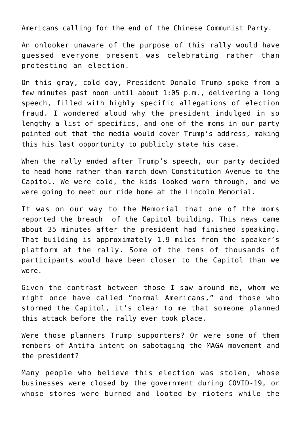Americans calling for the end of the Chinese Communist Party.

An onlooker unaware of the purpose of this rally would have guessed everyone present was celebrating rather than protesting an election.

On this gray, cold day, President Donald Trump spoke from a few minutes past noon until about 1:05 p.m., delivering a long speech, filled with highly specific allegations of election fraud. I wondered aloud why the president indulged in so lengthy a list of specifics, and one of the moms in our party pointed out that the media would cover Trump's address, making this his last opportunity to publicly state his case.

When the rally ended after Trump's speech, our party decided to head home rather than march down Constitution Avenue to the Capitol. We were cold, the kids looked worn through, and we were going to meet our ride home at the Lincoln Memorial.

It was on our way to the Memorial that one of the moms reported the breach of the Capitol building. This news came about 35 minutes after the president had finished speaking. That building is approximately 1.9 miles from the speaker's platform at the rally. Some of the tens of thousands of participants would have been closer to the Capitol than we were.

Given the contrast between those I saw around me, whom we might once have called "normal Americans," and those who stormed the Capitol, it's clear to me that someone planned this attack before the rally ever took place.

Were those planners Trump supporters? Or were some of them members of Antifa intent on sabotaging the MAGA movement and the president?

Many people who believe this election was stolen, whose businesses were closed by the government during COVID-19, or whose stores were burned and looted by rioters while the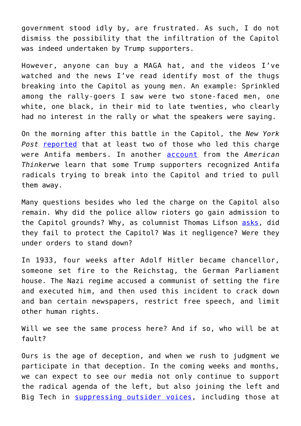government stood idly by, are frustrated. As such, I do not dismiss the possibility that the infiltration of the Capitol was indeed undertaken by Trump supporters.

However, anyone can buy a MAGA hat, and the videos I've watched and the news I've read identify most of the thugs breaking into the Capitol as young men. An example: Sprinkled among the rally-goers I saw were two stone-faced men, one white, one black, in their mid to late twenties, who clearly had no interest in the rally or what the speakers were saying.

On the morning after this battle in the Capitol, the *New York* Post [reported](https://nypost.com/2021/01/07/known-antifa-members-posed-as-pro-trump-to-infiltrate-capitol-riot-sources/) that at least two of those who led this charge were Antifa members. In another [account](https://www.americanthinker.com/blog/2021/01/were_leftist_provocateurs_leading_the_way_into_the_capitol.html) from the *American Thinker*we learn that some Trump supporters recognized Antifa radicals trying to break into the Capitol and tried to pull them away.

Many questions besides who led the charge on the Capitol also remain. Why did the police allow rioters go gain admission to the Capitol grounds? Why, as columnist Thomas Lifson [asks,](https://www.americanthinker.com/blog/2021/01/why_did_the_capitol_police_fail_to_protect_the_capitol.html) did they fail to protect the Capitol? Was it negligence? Were they under orders to stand down?

In 1933, four weeks after Adolf Hitler became chancellor, someone set fire to the Reichstag, the German Parliament house. The Nazi regime accused a communist of setting the fire and executed him, and then used this incident to crack down and ban certain newspapers, restrict free speech, and limit other human rights.

Will we see the same process here? And if so, who will be at fault?

Ours is the age of deception, and when we rush to judgment we participate in that deception. In the coming weeks and months, we can expect to see our media not only continue to support the radical agenda of the left, but also joining the left and Big Tech in [suppressing outsider voices,](https://www.intellectualtakeout.org/facebook-throttles-outsider-voices-on-election-eve/) including those at